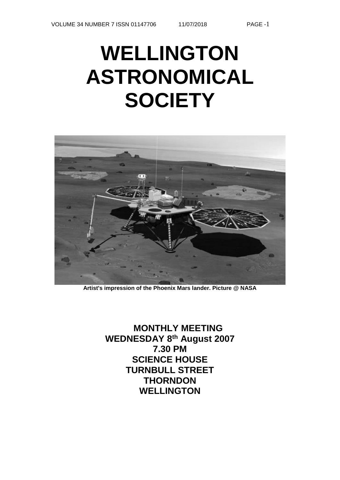# **WELLINGTON ASTRONOMICAL SOCIETY**



**Artist's impression of the Phoenix Mars lander. Picture @ NASA** 

**MONTHLY MEETING WEDNESDAY 8th August 2007 7.30 PM SCIENCE HOUSE TURNBULL STREET THORNDON WELLINGTON**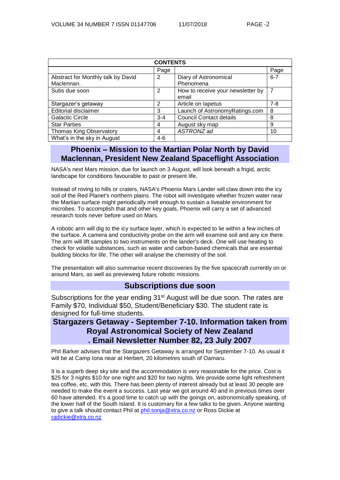| <b>CONTENTS</b>                    |         |                                   |                |  |  |
|------------------------------------|---------|-----------------------------------|----------------|--|--|
|                                    | Page    |                                   | Page           |  |  |
| Abstract for Monthly talk by David | 2       | Diary of Astronomical             | $6 - 7$        |  |  |
| Maclennan.                         |         | Phenomena                         |                |  |  |
| Subs due soon                      | 2       | How to receive your newsletter by | $\overline{7}$ |  |  |
|                                    |         | email                             |                |  |  |
| Stargazer's getaway                | 2       | Article on lapetus                | $7 - 8$        |  |  |
| Editorial disclaimer               | 3       | Launch of AstronomyRatings.com    | 8              |  |  |
| <b>Galactic Circle</b>             | $3 - 4$ | <b>Council Contact details</b>    | 8              |  |  |
| <b>Star Parties</b>                | 4       | August sky map                    | 9              |  |  |
| <b>Thomas King Observatory</b>     | 4       | ASTRONZ ad                        | 10             |  |  |
| What's in the sky in August        | $4-6$   |                                   |                |  |  |

# **Phoenix – Mission to the Martian Polar North by David Maclennan, President New Zealand Spaceflight Association**

NASA's next Mars mission, due for launch on 3 August, will look beneath a frigid, arctic landscape for conditions favourable to past or present life.

Instead of roving to hills or craters, NASA's Phoenix Mars Lander will claw down into the icy soil of the Red Planet's northern plains. The robot will investigate whether frozen water near the Martian surface might periodically melt enough to sustain a liveable environment for microbes. To accomplish that and other key goals, Phoenix will carry a set of advanced research tools never before used on Mars.

A robotic arm will dig to the icy surface layer, which is expected to lie within a few inches of the surface. A camera and conductivity probe on the arm will examine soil and any ice there. The arm will lift samples to two instruments on the lander's deck. One will use heating to check for volatile substances, such as water and carbon-based chemicals that are essential building blocks for life. The other will analyse the chemistry of the soil.

The presentation will also summarise recent discoveries by the five spacecraft currently on or around Mars, as well as previewing future robotic missions.

#### **Subscriptions due soon**

Subscriptions for the year ending 31<sup>st</sup> August will be due soon. The rates are Family \$70, Individual \$50, Student/Beneficiary \$30. The student rate is designed for full-time students.

# **Stargazers Getaway - September 7-10. Information taken from Royal Astronomical Society of New Zealand . Email Newsletter Number 82, 23 July 2007**

Phil Barker advises that the Stargazers Getaway is arranged for September 7-10. As usual it will be at Camp Iona near at Herbert, 20 kilometres south of Oamaru.

It is a superb deep sky site and the accommodation is very reasonable for the price. Cost is \$25 for 3 nights \$10 for one night and \$20 for two nights. We provide some light refreshment tea coffee, etc, with this. There has been plenty of interest already but at least 30 people are needed to make the event a success. Last year we got around 40 and in previous times over 60 have attended. It's a good time to catch up with the goings on, astronomically speaking, of the lower half of the South Island. It is customary for a few talks to be given. Anyone wanting to give a talk should contact Phil at [phil.sonja@xtra.co.nz](mailto:phil.sonja@xtra.co.nz) or Ross Dickie at [radickie@xtra.co.nz](mailto:radickie@xtra.co.nz)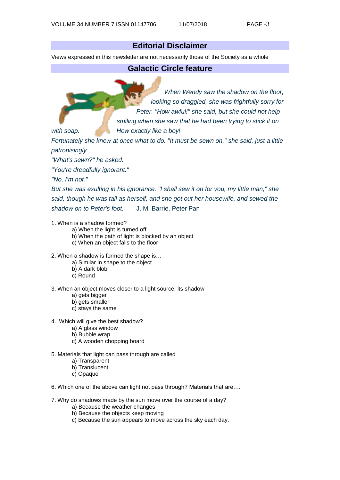# **Editorial Disclaimer**

Views expressed in this newsletter are not necessarily those of the Society as a whole

#### **Galactic Circle feature**

*When Wendy saw the shadow on the floor, looking so draggled, she was frightfully sorry for Peter. "How awful!" she said, but she could not help smiling when she saw that he had been trying to stick it on with soap. How exactly like a boy!* 

*Fortunately she knew at once what to do. "It must be sewn on," she said, just a little patronisingly.* 

*"What's sewn?" he asked.* 

*"You're dreadfully ignorant."* 

*"No, I'm not."* 

*But she was exulting in his ignorance. "I shall sew it on for you, my little man," she said, though he was tall as herself, and she got out her housewife, and sewed the shadow on to Peter's foot.* - J. M. Barrie, Peter Pan

1. When is a shadow formed?

- a) When the light is turned off
- b) When the path of light is blocked by an object
- c) When an object falls to the floor
- 2. When a shadow is formed the shape is…
	- a) Similar in shape to the object
	- b) A dark blob
	- c) Round
- 3. When an object moves closer to a light source, its shadow
	- a) gets bigger
	- b) gets smaller
	- c) stays the same
- 4. Which will give the best shadow?
	- a) A glass window
	- b) Bubble wrap
	- c) A wooden chopping board
- 5. Materials that light can pass through are called
	- a) Transparent
	- b) Translucent
	- c) Opaque
- 6. Which one of the above can light not pass through? Materials that are….
- 7. Why do shadows made by the sun move over the course of a day?
	- a) Because the weather changes
	- b) Because the objects keep moving
	- c) Because the sun appears to move across the sky each day.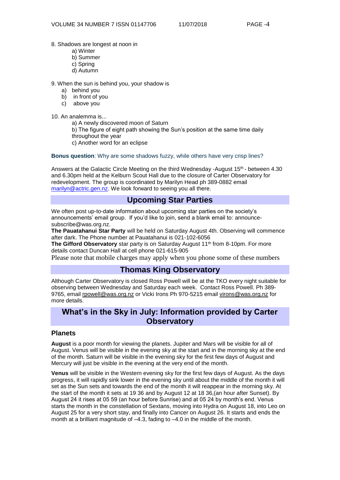- 8. Shadows are longest at noon in
	- a) Winter
	- b) Summer
	- c) Spring
	- d) Autumn

9. When the sun is behind you, your shadow is

- a) behind you
- b) in front of you
- c) above you

10. An analemma is...

a) A newly discovered moon of Saturn

b) The figure of eight path showing the Sun's position at the same time daily throughout the year

c) Another word for an eclipse

**Bonus question**: Why are some shadows fuzzy, while others have very crisp lines?

Answers at the Galactic Circle Meeting on the third Wednesday -August 15th - between 4.30 and 6.30pm held at the Kelburn Scout Hall due to the closure of Carter Observatory for redevelopment. The group is coordinated by Marilyn Head ph 389-0882 email [marilyn@actric.gen.nz.](mailto:marilyn@actric.gen.nz) We look forward to seeing you all there.

# **Upcoming Star Parties**

We often post up-to-date information about upcoming star parties on the society's announcements' email group. If you'd like to join, send a blank email to: [announce](mailto:announce-subscribe@astronomy.wellington.net.nz)[subscribe@was.org.nz.](mailto:announce-subscribe@astronomy.wellington.net.nz)

**The Pauatahanui Star Party** will be held on Saturday August 4th. Observing will commence after dark. The Phone number at Pauatahanui is 021-102-6056

**The Gifford Observatory** star party is on Saturday August 11<sup>th</sup> from 8-10pm. For more details contact Duncan Hall at cell phone 021-615-905

Please note that mobile charges may apply when you phone some of these numbers

## **Thomas King Observatory**

Although Carter Observatory is closed Ross Powell will be at the TKO every night suitable for observing between Wednesday and Saturday each week. Contact Ross Powell. Ph 389- 9765, email [rpowell@was.org.nz](mailto:rpowell@astronomy.wellington.net.nz) or Vicki Irons Ph 970-5215 email [virons@was.org.nz](mailto:virons@astronomy.wellington.net.nz) for more details.

# **What's in the Sky in July: Information provided by Carter Observatory**

#### **Planets**

**August** is a poor month for viewing the planets. Jupiter and Mars will be visible for all of August. Venus will be visible in the evening sky at the start and in the morning sky at the end of the month. Saturn will be visible in the evening sky for the first few days of August and Mercury will just be visible in the evening at the very end of the month.

**Venus** will be visible in the Western evening sky for the first few days of August. As the days progress, it will rapidly sink lower in the evening sky until about the middle of the month it will set as the Sun sets and towards the end of the month it will reappear in the morning sky. At the start of the month it sets at 19 36 and by August 12 at 18 36,(an hour after Sunset). By August 24 it rises at 05 59 (an hour before Sunrise) and at 05 24 by month's end. Venus starts the month in the constellation of Sextans, moving into Hydra on August 18, into Leo on August 25 for a very short stay, and finally into Cancer on August 26. It starts and ends the month at a brilliant magnitude of –4.3, fading to –4.0 in the middle of the month.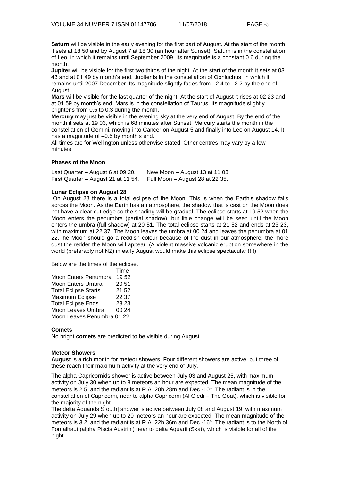**Saturn** will be visible in the early evening for the first part of August. At the start of the month it sets at 18 50 and by August 7 at 18 30 (an hour after Sunset). Saturn is in the constellation of Leo, in which it remains until September 2009. Its magnitude is a constant 0.6 during the month.

**Jupiter** will be visible for the first two thirds of the night. At the start of the month it sets at 03 43 and at 01 49 by month's end. Jupiter is in the constellation of Ophiuchus, in which it remains until 2007 December. Its magnitude slightly fades from –2.4 to –2.2 by the end of August.

**Mars** will be visible for the last quarter of the night. At the start of August it rises at 02 23 and at 01 59 by month's end. Mars is in the constellation of Taurus. Its magnitude slightly brightens from 0.5 to 0.3 during the month.

**Mercury** may just be visible in the evening sky at the very end of August. By the end of the month it sets at 19 03, which is 68 minutes after Sunset. Mercury starts the month in the constellation of Gemini, moving into Cancer on August 5 and finally into Leo on August 14. It has a magnitude of  $-0.6$  by month's end.

All times are for Wellington unless otherwise stated. Other centres may vary by a few minutes.

#### **Phases of the Moon**

| Last Quarter – August 6 at 09 20.   | New Moon $-$ August 13 at 11 03. |
|-------------------------------------|----------------------------------|
| First Quarter – August 21 at 11 54. | Full Moon – August 28 at 22 35.  |

#### **Lunar Eclipse on August 28**

On August 28 there is a total eclipse of the Moon. This is when the Earth's shadow falls across the Moon. As the Earth has an atmosphere, the shadow that is cast on the Moon does not have a clear cut edge so the shading will be gradual. The eclipse starts at 19 52 when the Moon enters the penumbra (partial shadow), but little change will be seen until the Moon enters the umbra (full shadow) at 20 51. The total eclipse starts at 21 52 and ends at 23 23, with maximum at 22 37. The Moon leaves the umbra at 00 24 and leaves the penumbra at 01 22.The Moon should go a reddish colour because of the dust in our atmosphere; the more dust the redder the Moon will appear. (A violent massive volcanic eruption somewhere in the world (preferably not NZ) in early August would make this eclipse spectacular!!!!!).

Below are the times of the eclipse.

|                             | Time  |  |  |  |
|-----------------------------|-------|--|--|--|
| Moon Enters Penumbra        | 1952  |  |  |  |
| <b>Moon Enters Umbra</b>    | 20 51 |  |  |  |
| <b>Total Eclipse Starts</b> | 21 52 |  |  |  |
| Maximum Eclipse             | 22 37 |  |  |  |
| <b>Total Eclipse Ends</b>   | 23 23 |  |  |  |
| Moon Leaves Umbra           | 00 24 |  |  |  |
| Moon Leaves Penumbra 01 22  |       |  |  |  |

#### **Comets**

No bright **comets** are predicted to be visible during August.

#### **Meteor Showers**

**August** is a rich month for meteor showers. Four different showers are active, but three of these reach their maximum activity at the very end of July.

The alpha Capricornids shower is active between July 03 and August 25, with maximum activity on July 30 when up to 8 meteors an hour are expected. The mean magnitude of the meteors is 2.5, and the radiant is at R.A. 20h 28m and Dec-10 $^{\circ}$ . The radiant is in the constellation of Capricorni, near to alpha Capricorni (Al Giedi – The Goat), which is visible for the majority of the night.

The delta Aquarids S[outh] shower is active between July 08 and August 19, with maximum activity on July 29 when up to 20 meteors an hour are expected. The mean magnitude of the meteors is 3.2, and the radiant is at R.A. 22h 36m and Dec -16°. The radiant is to the North of Fomalhaut (alpha Piscis Austrini) near to delta Aquarii (Skat), which is visible for all of the night.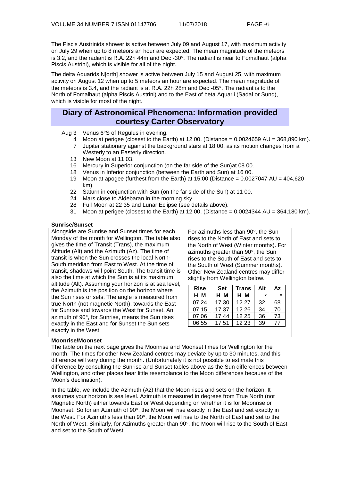The Piscis Austrinids shower is active between July 09 and August 17, with maximum activity on July 29 when up to 8 meteors an hour are expected. The mean magnitude of the meteors is 3.2, and the radiant is R.A. 22h 44m and Dec -30 $^{\circ}$ . The radiant is near to Fomalhaut (alpha Piscis Austrini), which is visible for all of the night.

The delta Aquarids N[orth] shower is active between July 15 and August 25, with maximum activity on August 12 when up to 5 meteors an hour are expected. The mean magnitude of the meteors is 3.4, and the radiant is at R.A. 22h 28m and Dec -05. The radiant is to the North of Fomalhaut (alpha Piscis Austrini) and to the East of beta Aquarii (Sadal or Sund), which is visible for most of the night.

#### **Diary of Astronomical Phenomena: Information provided courtesy Carter Observatory**

Aug 3 Venus 6°S of Regulus in evening.

- 4 Moon at perigee (closest to the Earth) at 12 00. (Distance  $= 0.0024659$  AU  $= 368,890$  km).<br>7 Jupiter stationary against the background stars at 18 00. as its motion changes from a
- Jupiter stationary against the background stars at 18 00, as its motion changes from a Westerly to an Easterly direction.
- 13 New Moon at 11 03.
- 16 Mercury in Superior conjunction (on the far side of the Sun)at 08 00.
- 18 Venus in Inferior conjunction (between the Earth and Sun) at 16 00.
- 19 Moon at apogee (furthest from the Earth) at 15:00 (Distance = 0.0027047 AU = 404,620 km).
- 22 Saturn in conjunction with Sun (on the far side of the Sun) at 11 00.
- 24 Mars close to Aldebaran in the morning sky.
- 28 Full Moon at 22 35 and Lunar Eclipse (see details above).
- 31 Moon at perigee (closest to the Earth) at 12 00. (Distance = 0.0024344 AU = 364,180 km).

#### **Sunrise/Sunset**

Alongside are Sunrise and Sunset times for each Monday of the month for Wellington, The table also gives the time of Transit (Trans), the maximum Altitude (Alt) and the Azimuth (Az). The time of transit is when the Sun crosses the local North-South meridian from East to West. At the time of transit, shadows will point South. The transit time is also the time at which the Sun is at its maximum altitude (Alt). Assuming your horizon is at sea level, the Azimuth is the position on the horizon where the Sun rises or sets. The angle is measured from true North (not magnetic North), towards the East for Sunrise and towards the West for Sunset. An azimuth of 90°, for Sunrise, means the Sun rises exactly in the East and for Sunset the Sun sets exactly in the West.

For azimuths less than  $90^\circ$ , the Sun rises to the North of East and sets to the North of West (Winter months). For azimuths greater than  $90^\circ$ , the Sun rises to the South of East and sets to the South of West (Summer months). Other New Zealand centres may differ slightly from Wellington below.

| ۰  |    |
|----|----|
|    |    |
| 32 | 68 |
| 34 | 70 |
| 36 | 73 |
| 39 | 77 |
|    |    |

#### **Moonrise/Moonset**

The table on the next page gives the Moonrise and Moonset times for Wellington for the month. The times for other New Zealand centres may deviate by up to 30 minutes, and this difference will vary during the month. (Unfortunately it is not possible to estimate this difference by consulting the Sunrise and Sunset tables above as the Sun differences between Wellington, and other places bear little resemblance to the Moon differences because of the Moon's declination).

In the table, we include the Azimuth (Az) that the Moon rises and sets on the horizon. It assumes your horizon is sea level. Azimuth is measured in degrees from True North (not Magnetic North) either towards East or West depending on whether it is for Moonrise or Moonset. So for an Azimuth of  $90^{\circ}$ , the Moon will rise exactly in the East and set exactly in the West. For Azimuths less than  $90^{\circ}$ , the Moon will rise to the North of East and set to the North of West. Similarly, for Azimuths greater than  $90^\circ$ , the Moon will rise to the South of East and set to the South of West.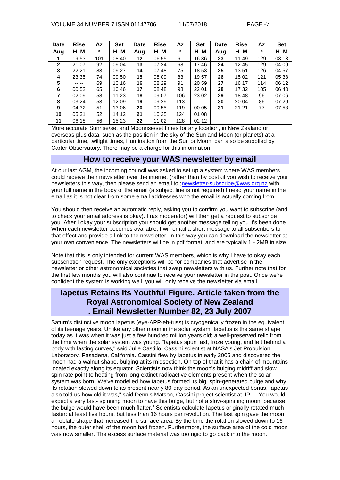| <b>Date</b>  | <b>Rise</b> | Az      | <b>Set</b> | Date | <b>Rise</b> | Az      | <b>Set</b> | <b>Date</b> | <b>Rise</b> | Az      | <b>Set</b> |
|--------------|-------------|---------|------------|------|-------------|---------|------------|-------------|-------------|---------|------------|
| Aug          | M<br>н      | $\circ$ | M<br>H.    | Aug  | H.<br>M     | $\circ$ | M<br>н     | Aug         | M<br>н.     | $\circ$ | М<br>н     |
| 1            | 1953        | 101     | 08 40      | 12   | 06 55       | 61      | 16 36      | 23          | 11 49       | 129     | 03 13      |
| $\mathbf{2}$ | 21 07       | 92      | 09 04      | 13   | 07 24       | 68      | 1746       | 24          | 1245        | 129     | 04 09      |
| 3            | 22 21       | 83      | 09 27      | 14   | 07<br>48    | 75      | 1853       | 25          | 1351        | 126     | 04 57      |
| 4            | 23 35       | 74      | 09 50      | 15   | 08 09       | 83      | 1957       | 26          | 1502        | 121     | 05 38      |
| 5            | $---$       | 69      | 10 16      | 16   | 08 29       | 91      | 20 59      | 27          | 16 17       | 114     | 06 12      |
| 6            | 00 52       | 65      | 1046       | 17   | 08 48       | 98      | 22 01      | 28          | 1732        | 105     | 06 40      |
| 7            | 02 09       | 58      | 11 23      | 18   | 09 07       | 106     | 23 02      | 29          | 1848        | 96      | 07 06      |
| 8            | 03 24       | 53      | 12 09      | 19   | 09 29       | 113     | -- --      | 30          | 20 04       | 86      | 07 29      |
| 9            | 04 32       | 51      | 1306       | 20   | 09 55       | 119     | 00 05      | 31          | 21 21       | 77      | 07 53      |
| 10           | 05 31       | 52      | 14 12      | 21   | 10 25       | 124     | 01 08      |             |             |         |            |
| 11           | 06 18       | 56      | 15 23      | 22   | 11 02       | 128     | 02 12      |             |             |         |            |

More accurate Sunrise/set and Moonrise/set times for any location, in New Zealand or overseas plus data, such as the position in the sky of the Sun and Moon (or planets) at a particular time, twilight times, illumination from the Sun or Moon, can also be supplied by Carter Observatory. There may be a charge for this information

## **How to receive your WAS newsletter by email**

At our last AGM, the incoming council was asked to set up a system where WAS members could receive their newsletter over the internet (rather than by post).if you wish to receive your newsletters this way, then please send an email to [;newsletter-subscribe@was.org.nz](mailto:newsletter-subscribe@was.org.nz) with your full name in the body of the email (a subject line is not required).I need your name in the email as it is not clear from some email addresses who the email is actually coming from.

You should then receive an automatic reply, asking you to confirm you want to subscribe (and to check your email address is okay). I (as moderator) will then get a request to subscribe you. After I okay your subscription you should get another message telling you it's been done. When each newsletter becomes available, I will email a short message to all subscribers to that effect and provide a link to the newsletter. In this way you can download the newsletter at your own convenience. The newsletters will be in pdf format, and are typically 1 - 2MB in size.

Note that this is only intended for current WAS members, which is why I have to okay each subscription request. The only exceptions will be for companies that advertise in the newsletter or other astronomical societies that swap newsletters with us. Further note that for the first few months you will also continue to receive your newsletter in the post. Once we're confident the system is working well, you will only receive the newsletter via email

# **Iapetus Retains Its Youthful Figure. Article taken from the Royal Astronomical Society of New Zealand . Email Newsletter Number 82, 23 July 2007**

Saturn's distinctive moon Iapetus (eye-APP-eh-tuss) is cryogenically frozen in the equivalent of its teenage years. Unlike any other moon in the solar system, Iapetus is the same shape today as it was when it was just a few hundred million years old; a well-preserved relic from the time when the solar system was young. "Iapetus spun fast, froze young, and left behind a body with lasting curves," said Julie Castillo, Cassini scientist at NASA's Jet Propulsion Laboratory, Pasadena, California. Cassini flew by Iapetus in early 2005 and discovered the moon had a walnut shape, bulging at its midsection. On top of that it has a chain of mountains located exactly along its equator. Scientists now think the moon's bulging midriff and slow spin rate point to heating from long-extinct radioactive elements present when the solar system was born."We've modelled how Iapetus formed its big, spin-generated bulge and why its rotation slowed down to its present nearly 80-day period. As an unexpected bonus, Iapetus also told us how old it was," said Dennis Matson, Cassini project scientist at JPL. "You would expect a very fast- spinning moon to have this bulge, but not a slow-spinning moon, because the bulge would have been much flatter." Scientists calculate Iapetus originally rotated much faster: at least five hours, but less than 16 hours per revolution. The fast spin gave the moon an oblate shape that increased the surface area. By the time the rotation slowed down to 16 hours, the outer shell of the moon had frozen. Furthermore, the surface area of the cold moon was now smaller. The excess surface material was too rigid to go back into the moon.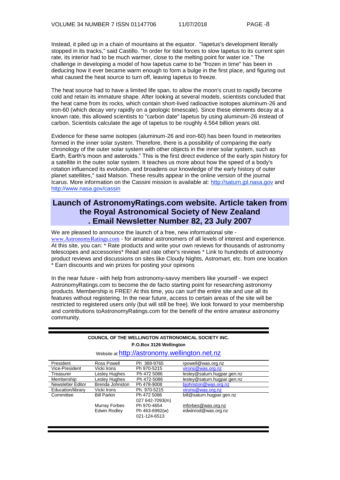Instead, it piled up in a chain of mountains at the equator. "Iapetus's development literally stopped in its tracks," said Castillo. "In order for tidal forces to slow Iapetus to its current spin rate, its interior had to be much warmer, close to the melting point for water ice." The challenge in developing a model of how Iapetus came to be "frozen in time" has been in deducing how it ever became warm enough to form a bulge in the first place, and figuring out what caused the heat source to turn off, leaving Iapetus to freeze.

The heat source had to have a limited life span, to allow the moon's crust to rapidly become cold and retain its immature shape. After looking at several models, scientists concluded that the heat came from its rocks, which contain short-lived radioactive isotopes aluminum-26 and iron-60 (which decay very rapidly on a geologic timescale). Since these elements decay at a known rate, this allowed scientists to "carbon date" Iapetus by using aluminum-26 instead of carbon. Scientists calculate the age of Iapetus to be roughly 4.564 billion years old.

Evidence for these same isotopes (aluminum-26 and iron-60) has been found in meteorites formed in the inner solar system. Therefore, there is a possibility of comparing the early chronology of the outer solar system with other objects in the inner solar system, such as Earth, Earth's moon and asteroids." This is the first direct evidence of the early spin history for a satellite in the outer solar system. It teaches us more about how the speed of a body's rotation influenced its evolution, and broadens our knowledge of the early history of outer planet satellites," said Matson. These results appear in the online version of the journal Icarus. More information on the Cassini mission is available at: [http://saturn.jpl.nasa.gov](http://saturn.jpl.nasa.gov/) and [http://www.nasa.gov/cassin](http://www.nasa.gov/cassini)

# **Launch of AstronomyRatings.com website. Article taken from the Royal Astronomical Society of New Zealand . Email Newsletter Number 82, 23 July 2007**

We are pleased to announce the launch of a free, new informational site [www.AstronomyRatings.com](http://www.astronomyratings.com/) - for amateur astronomers of all levels of interest and experience. At this site, you can: \* Rate products and write your own reviews for thousands of astronomy telescopes and accessories\* Read and rate other's reviews \* Link to hundreds of astronomy product reviews and discussions on sites like Cloudy Nights, Astromart, etc. from one location \* Earn discounts and win prizes for posting your opinions

In the near future - with help from astronomy-savvy members like yourself - we expect AstronomyRatings.com to become the de facto starting point for researching astronomy products. Membership is FREE! At this time, you can surf the entire site and use all its features without registering. In the near future, access to certain areas of the site will be restricted to registered users only (but will still be free). We look forward to your membership and contributions toAstronomyRatings.com for the benefit of the entire amateur astronomy community.

| <b>COUNCIL OF THE WELLINGTON ASTRONOMICAL SOCIETY INC.</b><br>P.O.Box 3126 Wellington<br>Website at http://astronomy.wellington.net.nz |                    |                 |                             |  |  |
|----------------------------------------------------------------------------------------------------------------------------------------|--------------------|-----------------|-----------------------------|--|--|
| President                                                                                                                              | Ross Powell        | Ph 389-9765     | rpowell@was.org.nz          |  |  |
| Vice-President                                                                                                                         | Vicki Irons        | Ph 970-5215     | virons@was.org.nz           |  |  |
| Treasurer                                                                                                                              | Leslev Hughes      | Ph 472 5086     | lesley@saturn.hugpar.gen.nz |  |  |
| Membership                                                                                                                             | Lesley Hughes      | Ph 472-5086     | lesley@saturn.hugpar.gen.nz |  |  |
| Newsletter Editor                                                                                                                      | Brenda Johnston    | Ph 478-9008     | bjohnston@was.org.nz        |  |  |
| Education/library                                                                                                                      | Vicki Irons        | Ph. 970-5215    | virons@was.org.nz           |  |  |
| Committee                                                                                                                              | <b>Bill Parkin</b> | Ph 472 5086     | bill@saturn.hugpar.gen.nz   |  |  |
|                                                                                                                                        |                    | 027 642-7093(m) |                             |  |  |
|                                                                                                                                        | Murray Forbes      | Ph 970-4654     | mforbes@was.org.nz          |  |  |
|                                                                                                                                        | Edwin Rodley       | Ph 463-6992(w)  | edwinrod@was.org.nz         |  |  |
|                                                                                                                                        |                    | 021-124-6513    |                             |  |  |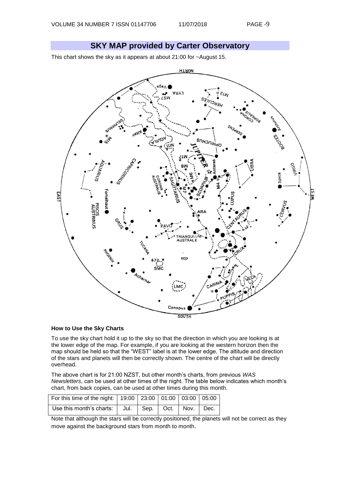# **SKY MAP provided by Carter Observatory**

This chart shows the sky as it appears at about 21:00 for ~August 15.



#### **How to Use the Sky Charts**

To use the sky chart hold it up to the sky so that the direction in which you are looking is at the lower edge of the map. For example, if you are looking at the western horizon then the map should be held so that the "WEST" label is at the lower edge. The altitude and direction of the stars and planets will then be correctly shown. The centre of the chart will be directly overhead.

The above chart is for 21:00 NZST, but other month's charts, from previous *WAS Newsletters*, can be used at other times of the night. The table below indicates which month's chart, from back copies, can be used at other times during this month.

| For this time of the night:   19:00   23:00   01:00   03:00   05:00 |  |  |  |
|---------------------------------------------------------------------|--|--|--|
| Use this month's charts:   Jul.   Sep.   Oct.   Nov.   Dec.         |  |  |  |

Note that although the stars will be correctly positioned, the planets will not be correct as they move against the background stars from month to month.